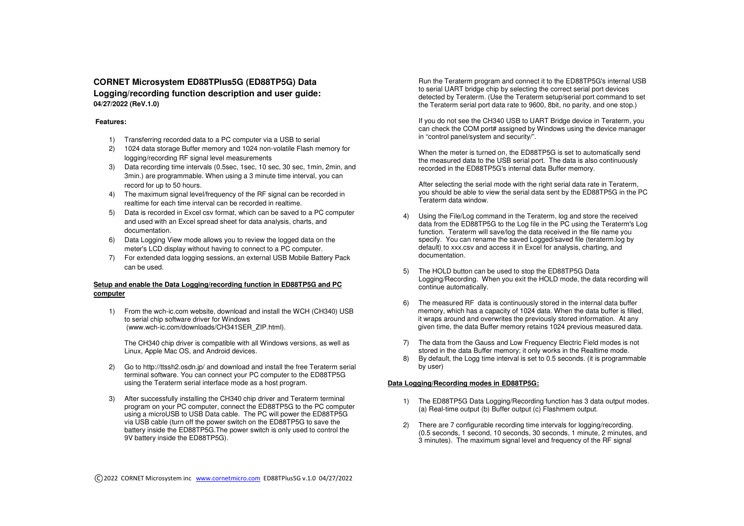# **CORNET Microsystem ED88TPlus5G (ED88TP5G) Data Logging/recording function description and user guide: 04/27/2022 (ReV.1.0)**

## **Features:**

- 1) Transferring recorded data to a PC computer via a USB to serial
- 2) 1024 data storage Buffer memory and 1024 non-volatile Flash memory for logging/recording RF signal level measurements
- 3) Data recording time intervals (0.5sec, 1sec, 10 sec, 30 sec, 1min, 2min, and 3min.) are programmable. When using a 3 minute time interval, you can record for up to 50 hours.
- 4) The maximum signal level/frequency of the RF signal can be recorded in realtime for each time interval can be recorded in realtime.
- 5) Data is recorded in Excel csv format, which can be saved to a PC computer and used with an Excel spread sheet for data analysis, charts, and documentation.
- 6) Data Logging View mode allows you to review the logged data on the meter's LCD display without having to connect to a PC computer.
- 7) For extended data logging sessions, an external USB Mobile Battery Pack can be used.

# **Setup and enable the Data Logging/recording function in ED88TP5G and PC computer**

1) From the wch-ic.com website, download and install the WCH (CH340) USB to serial chip software driver for Windows (www.wch-ic.com/downloads/CH341SER\_ZIP.html).

The CH340 chip driver is compatible with all Windows versions, as well as Linux, Apple Mac OS, and Android devices.

- 2) Go to http://ttssh2.osdn.jp/ and download and install the free Teraterm serial terminal software. You can connect your PC computer to the ED88TP5G using the Teraterm serial interface mode as a host program.
- 3) After successfully installing the CH340 chip driver and Teraterm terminal program on your PC computer, connect the ED88TP5G to the PC computer using a microUSB to USB Data cable. The PC will power the ED88TP5G via USB cable (turn off the power switch on the ED88TP5G to save the battery inside the ED88TP5G.The power switch is only used to control the 9V battery inside the ED88TP5G).

Run the Teraterm program and connect it to the ED88TP5G's internal USB to serial UART bridge chip by selecting the correct serial port devices detected by Teraterm. (Use the Teraterm setup/serial port command to set the Teraterm serial port data rate to 9600, 8bit, no parity, and one stop.)

If you do not see the CH340 USB to UART Bridge device in Teraterm, you can check the COM port# assigned by Windows using the device manager in "control panel/system and security/".

When the meter is turned on, the ED88TP5G is set to automatically send the measured data to the USB serial port. The data is also continuously recorded in the ED88TP5G's internal data Buffer memory.

After selecting the serial mode with the right serial data rate in Teraterm, you should be able to view the serial data sent by the ED88TP5G in the PC Teraterm data window.

- Using the File/Log command in the Teraterm, log and store the received data from the ED88TP5G to the Log file in the PC using the Teraterm's Log function. Teraterm will save/log the data received in the file name you specify. You can rename the saved Logged/saved file (teraterm.log by default) to xxx.csv and access it in Excel for analysis, charting, and documentation.
- 5) The HOLD button can be used to stop the ED88TP5G Data Logging/Recording. When you exit the HOLD mode, the data recording will continue automatically.
- 6) The measured RF data is continuously stored in the internal data buffer memory, which has a capacity of 1024 data. When the data buffer is filled, it wraps around and overwrites the previously stored information. At any given time, the data Buffer memory retains 1024 previous measured data.
	- 7) The data from the Gauss and Low Frequency Electric Field modes is not stored in the data Buffer memory; it only works in the Realtime mode.
	- 8) By default, the Logg time interval is set to 0.5 seconds. (it is programmable by user)

# **Data Logging/Recording modes in ED88TP5G:**

- 1) The ED88TP5G Data Logging/Recording function has 3 data output modes. (a) Real-time output (b) Buffer output (c) Flashmem output.
- 2) There are 7 configurable recording time intervals for logging/recording. (0.5 seconds, 1 second, 10 seconds, 30 seconds, 1 minute, 2 minutes, and 3 minutes). The maximum signal level and frequency of the RF signal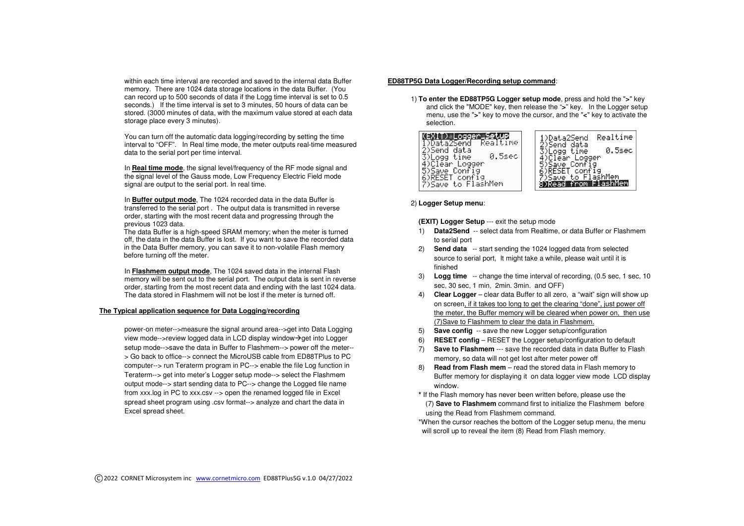within each time interval are recorded and saved to the internal data Buffer memory. There are 1024 data storage locations in the data Buffer. (You can record up to 500 seconds of data if the Logg time interval is set to 0.5 seconds.) If the time interval is set to 3 minutes, 50 hours of data can be stored. (3000 minutes of data, with the maximum value stored at each data storage place every 3 minutes).

You can turn off the automatic data logging/recording by setting the time interval to "OFF". In Real time mode, the meter outputs real-time measured data to the serial port per time interval.

In **Real time mode**, the signal level/frequency of the RF mode signal and the signal level of the Gauss mode, Low Frequency Electric Field mode signal are output to the serial port. In real time.

In **Buffer output mode**, The 1024 recorded data in the data Buffer is transferred to the serial port . The output data is transmitted in reverse order, starting with the most recent data and progressing through the previous 1023 data.

 The data Buffer is a high-speed SRAM memory; when the meter is turned off, the data in the data Buffer is lost. If you want to save the recorded data in the Data Buffer memory, you can save it to non-volatile Flash memory before turning off the meter.

In **Flashmem output mode**, The 1024 saved data in the internal Flash memory will be sent out to the serial port. The output data is sent in reverse order, starting from the most recent data and ending with the last 1024 data. The data stored in Flashmem will not be lost if the meter is turned off.

#### **The Typical application sequence for Data Logging/recording**

power-on meter-->measure the signal around area-->get into Data Logging view mode-->review logged data in LCD display window->get into Logger setup mode-->save the data in Buffer to Flashmem--> power off the meter-- > Go back to office--> connect the MicroUSB cable from ED88TPlus to PC computer--> run Teraterm program in PC--> enable the file Log function in Teraterm--> get into meter's Logger setup mode--> select the Flashmem output mode--> start sending data to PC--> change the Logged file name from xxx.log in PC to xxx.csv --> open the renamed logged file in Excel spread sheet program using .csv format--> analyze and chart the data in Excel spread sheet.

## **ED88TP5G Data Logger/Recording setup command**:

1) **To enter the ED88TP5G Logger setup mode**, press and hold the "**>**" key and click the "MODE" key, then release the "**>**" key. In the Logger setup menu, use the "**>**" key to move the cursor, and the "**<**" key to activate the selection.



#### 2) **Logger Setup menu**:

**(EXIT) Logger Setup** --- exit the setup mode

- 1) **Data2Send** -- select data from Realtime, or data Buffer or Flashmem to serial port
- 2) **Send data** -- start sending the 1024 logged data from selected source to serial port, It might take a while, please wait until it is finished
- 3) **Logg time** -- change the time interval of recording, (0.5 sec, 1 sec, 10 sec, 30 sec, 1 min, 2min. 3min. and OFF)
- 4) **Clear Logger** clear data Buffer to all zero, a "wait" sign will show up on screen, if it takes too long to get the clearing "done", just power off the meter, the Buffer memory will be cleared when power on, then use (7)Save to Flashmem to clear the data in Flashmem.
- 5) **Save config** -- save the new Logger setup/configuration
- 6) **RESET config** RESET the Logger setup/configuration to default
- 7) **Save to Flashmem** --- save the recorded data in data Buffer to Flashmemory, so data will not get lost after meter power off
- 8) **Read from Flash mem**  read the stored data in Flash memory to Buffer memory for displaying it on data logger view mode LCD display window.

 **\*** If the Flash memory has never been written before, please use the (7) **Save to Flashmem** command first to initialize the Flashmem before using the Read from Flashmem command.

\*When the cursor reaches the bottom of the Logger setup menu, the menu will scroll up to reveal the item (8) Read from Flash memory.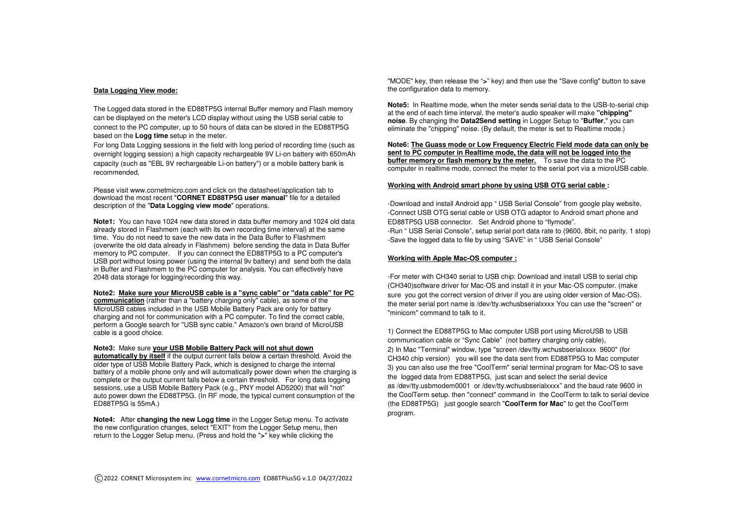## **Data Logging View mode:**

The Logged data stored in the ED88TP5G internal Buffer memory and Flash memory can be displayed on the meter's LCD display without using the USB serial cable to connect to the PC computer, up to 50 hours of data can be stored in the ED88TP5G based on the **Logg time** setup in the meter.

For long Data Logging sessions in the field with long period of recording time (such as overnight logging session) a high capacity rechargeable 9V Li-on battery with 650mAh capacity (such as "EBL 9V rechargeable Li-on battery") or a mobile battery bank is recommended,

Please visit www.cornetmicro.com and click on the datasheet/application tab to download the most recent "**CORNET ED88TP5G user manual**" file for a detailed description of the "**Data Logging view mode**" operations.

**Note1:** You can have 1024 new data stored in data buffer memory and 1024 old data already stored in Flashmem (each with its own recording time interval) at the same time. You do not need to save the new data in the Data Buffer to Flashmem (overwrite the old data already in Flashmem) before sending the data in Data Buffer memory to PC computer. If you can connect the ED88TP5G to a PC computer's USB port without losing power (using the internal 9v battery) and send both the data in Buffer and Flashmem to the PC computer for analysis. You can effectively have 2048 data storage for logging/recording this way.

#### **Note2: Make sure your MicroUSB cable is a "sync cable" or "data cable" for PC**

**communication** (rather than a "battery charging only" cable), as some of the MicroUSB cables included in the USB Mobile Battery Pack are only for battery charging and not for communication with a PC computer. To find the correct cable, perform a Google search for "USB sync cable." Amazon's own brand of MicroUSB cable is a good choice.

### **Note3:** Make sure **your USB Mobile Battery Pack will not shut down**

 **automatically by itself** if the output current falls below a certain threshold. Avoid the older type of USB Mobile Battery Pack, which is designed to charge the internal battery of a mobile phone only and will automatically power down when the charging is complete or the output current falls below a certain threshold. For long data logging sessions, use a USB Mobile Battery Pack (e.g., PNY model AD5200) that will "not" auto power down the ED88TP5G. (In RF mode, the typical current consumption of the ED88TP5G is 55mA.)

**Note4:** After **changing the new Logg time** in the Logger Setup menu. To activate the new configuration changes, select "EXIT" from the Logger Setup menu, then return to the Logger Setup menu. (Press and hold the "**>**" key while clicking the

"MODE" key, then release the "**>**" key) and then use the "Save config" button to save the configuration data to memory.

**Note5:** In Realtime mode, when the meter sends serial data to the USB-to-serial chip at the end of each time interval, the meter's audio speaker will make **"chipping" noise**. By changing the **Data2Send setting** in Logger Setup to "**Buffer**," you can eliminate the "chipping" noise. (By default, the meter is set to Realtime mode.)

**Note6: The Guass mode or Low Frequency Electric Field mode data can only be sent to PC computer in Realtime mode, the data will not be logged into the buffer memory or flash memory by the meter.** To save the data to the PC computer in realtime mode, connect the meter to the serial port via a microUSB cable.

### **Working with Android smart phone by using USB OTG serial cable :**

-Download and install Android app " USB Serial Console" from google play website, -Connect USB OTG serial cable or USB OTG adaptor to Android smart phone and ED88TP5G USB connector. Set Android phone to "flymode". -Run " USB Serial Console", setup serial port data rate to (9600, 8bit, no parity, 1 stop) -Save the logged data to file by using "SAVE" in " USB Serial Console"

#### **Working with Apple Mac-OS computer :**

-For meter with CH340 serial to USB chip: Download and install USB to serial chip (CH340)software driver for Mac-OS and install it in your Mac-OS computer. (make sure you got the correct version of driver if you are using older version of Mac-OS). the meter serial port name is /dev/tty.wchusbserialxxxx You can use the "screen" or "minicom" command to talk to it.

1) Connect the ED88TP5G to Mac computer USB port using MicroUSB to USB communication cable or "Sync Cable" (not battery charging only cable), 2) In Mac "Terminal" window, type "screen /dev/tty.wchusbserialxxxx 9600" (for CH340 chip version) you will see the data sent from ED88TP5G to Mac computer 3) you can also use the free "CoolTerm" serial terminal program for Mac-OS to save the logged data from ED88TP5G, just scan and select the serial device as /dev/tty.usbmodem0001 or /dev/tty.wchusbserialxxxx" and the baud rate 9600 in the CoolTerm setup. then "connect" command in the CoolTerm to talk to serial device (the ED88TP5G) just google search "**CoolTerm for Mac**" to get the CoolTerm program.